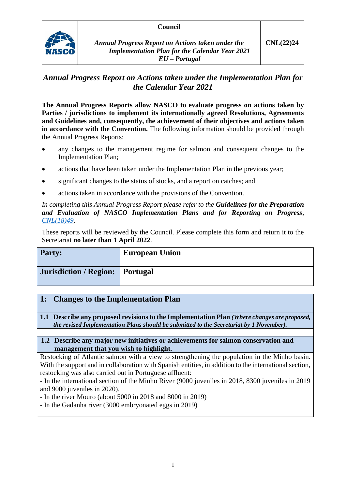## **Council**



*Annual Progress Report on Actions taken under the Implementation Plan for the Calendar Year 2021 EU – Portugal*

# *Annual Progress Report on Actions taken under the Implementation Plan for the Calendar Year 2021*

**The Annual Progress Reports allow NASCO to evaluate progress on actions taken by Parties / jurisdictions to implement its internationally agreed Resolutions, Agreements and Guidelines and, consequently, the achievement of their objectives and actions taken in accordance with the Convention.** The following information should be provided through the Annual Progress Reports:

- any changes to the management regime for salmon and consequent changes to the Implementation Plan;
- actions that have been taken under the Implementation Plan in the previous year;
- significant changes to the status of stocks, and a report on catches; and
- actions taken in accordance with the provisions of the Convention.

*In completing this Annual Progress Report please refer to the Guidelines for the Preparation and Evaluation of NASCO Implementation Plans and for Reporting on Progress, [CNL\(18\)49.](https://nasco.int/wp-content/uploads/2020/02/CNL1849_Guidelines-for-the-Preparation-and-Evaluation-of-NASCO-Implementation-Plans-and-for-Reporting-on-Progress.pdf)*

These reports will be reviewed by the Council. Please complete this form and return it to the Secretariat **no later than 1 April 2022**.

| <b>Party:</b>                   | <b>European Union</b> |
|---------------------------------|-----------------------|
| Jurisdiction / Region: Portugal |                       |

## **1: Changes to the Implementation Plan**

**1.1 Describe any proposed revisions to the Implementation Plan** *(Where changes are proposed, the revised Implementation Plans should be submitted to the Secretariat by 1 November).*

### **1.2 Describe any major new initiatives or achievements for salmon conservation and management that you wish to highlight.**

Restocking of Atlantic salmon with a view to strengthening the population in the Minho basin. With the support and in collaboration with Spanish entities, in addition to the international section, restocking was also carried out in Portuguese affluent:

- In the international section of the Minho River (9000 juveniles in 2018, 8300 juveniles in 2019 and 9000 juveniles in 2020).

- In the river Mouro (about 5000 in 2018 and 8000 in 2019)

- In the Gadanha river (3000 embryonated eggs in 2019)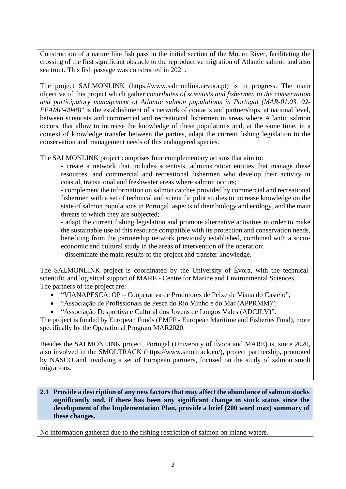Construction of a nature like fish pass in the initial section of the Mouro River, facilitating the crossing of the first significant obstacle to the reproductive migration of Atlantic salmon and also sea trout. This fish passage was constructed in 2021.

The project SALMONLINK (https://www.salmonlink.uevora.pt) is in progress. The main objective of this project which gather c*ontributes of scientists and fishermen to the conservation and participatory management of Atlantic salmon populations in Portugal (MAR-01.03. 02- FEAMP-0048*)" is the establishment of a network of contacts and partnerships, at national level, between scientists and commercial and recreational fishermen in areas where Atlantic salmon occurs, that allow to increase the knowledge of these populations and, at the same time, in a context of knowledge transfer between the parties, adapt the current fishing legislation to the conservation and management needs of this endangered species.

The SALMONLINK project comprises four complementary actions that aim to:

- create a network that includes scientists, administration entities that manage these resources, and commercial and recreational fishermen who develop their activity in coastal, transitional and freshwater areas where salmon occurs;

- complement the information on salmon catches provided by commercial and recreational fishermen with a set of technical and scientific pilot studies to increase knowledge on the state of salmon populations in Portugal, aspects of their biology and ecology, and the main threats to which they are subjected;

- adapt the current fishing legislation and promote alternative activities in order to make the sustainable use of this resource compatible with its protection and conservation needs, benefiting from the partnership network previously established, combined with a socioeconomic and cultural study in the areas of intervention of the operation;

- disseminate the main results of the project and transfer knowledge.

The SALMONLINK project is coordinated by the University of Évora, with the technicalscientific and logistical support of MARE - Centre for Marine and Environmental Sciences. The partners of the project are:

- "VIANAPESCA, OP Cooperativa de Produtores de Peixe de Viana do Castelo";
- "Associação de Profissionais de Pesca do Rio Minho e do Mar (APPRMM)";
- "Associação Desportiva e Cultural dos Jovens de Longos Vales (ADCJLV)".

The project is funded by European Funds (EMFF - European Maritime and Fisheries Fund), more specifically by the Operational Program MAR2020.

Besides the SALMONLINK project, Portugal (University of Évora and MARE) is, since 2020, also involved in the SMOLTRACK (https://www.smoltrack.eu/), project partnership, promoted by NASCO and involving a set of European partners, focused on the study of salmon smolt migrations.

### **2.1 Provide a description of any new factors that may affect the abundance of salmon stocks significantly and, if there has been any significant change in stock status since the development of the Implementation Plan, provide a brief (200 word max) summary of these changes.**

No information gathered due to the fishing restriction of salmon on inland waters.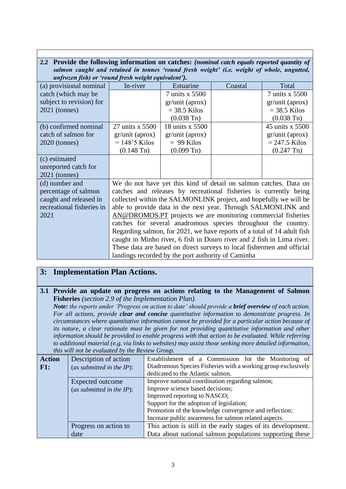## **2.2 Provide the following information on catches:** *(nominal catch equals reported quantity of salmon caught and retained in tonnes 'round fresh weight' (i.e. weight of whole, ungutted, unfrozen fish) or 'round fresh weight equivalent').*

| (a) provisional nominal   | $\sim$ $\sim$ $\sim$<br>In-river                                        | Estuarine                                          | Coastal                                                                | Total                |
|---------------------------|-------------------------------------------------------------------------|----------------------------------------------------|------------------------------------------------------------------------|----------------------|
| catch (which may be       |                                                                         | 7 units x 5500                                     |                                                                        | 7 units x 5500       |
| subject to revision) for  |                                                                         | gr/unit (aprox)                                    |                                                                        | gr/unit (aprox)      |
| $2021$ (tonnes)           |                                                                         | $=$ 38.5 Kilos                                     |                                                                        | $=$ 38.5 Kilos       |
|                           |                                                                         | $(0.038 \text{ Tn})$                               |                                                                        | $(0.038 \text{ Tn})$ |
| (b) confirmed nominal     | 27 units x 5500                                                         | 18 units x 5500                                    |                                                                        | 45 units x 5500      |
| catch of salmon for       | gr/unit (aprox)                                                         | gr/unit (aprox)                                    |                                                                        | gr/unit (aprox)      |
| $2020$ (tonnes)           | $= 148.5$ Kilos                                                         | $= 99$ Kilos                                       |                                                                        | $= 247.5$ Kilos      |
|                           | $(0.148 \text{ Tn})$                                                    | $(0.099 \text{ Tn})$                               |                                                                        | $(0.247 \text{ Tn})$ |
| (c) estimated             |                                                                         |                                                    |                                                                        |                      |
| unreported catch for      |                                                                         |                                                    |                                                                        |                      |
| $2021$ (tonnes)           |                                                                         |                                                    |                                                                        |                      |
| (d) number and            | We do not have yet this kind of detail on salmon catches. Data on       |                                                    |                                                                        |                      |
| percentage of salmon      | catches and releases by recreational fisheries is currently being       |                                                    |                                                                        |                      |
| caught and released in    | collected within the SALMONLINK project, and hopefully we will be       |                                                    |                                                                        |                      |
| recreational fisheries in | able to provide data in the next year. Through SALMONLINK and           |                                                    |                                                                        |                      |
| 2021                      | AN@DROMOS.PT projects we are monitoring commercial fisheries            |                                                    |                                                                        |                      |
|                           |                                                                         |                                                    | catches for several anadromous species throughout the country.         |                      |
|                           | Regarding salmon, for 2021, we have reports of a total of 14 adult fish |                                                    |                                                                        |                      |
|                           | caught in Minho river, 6 fish in Douro river and 2 fish in Lima river.  |                                                    |                                                                        |                      |
|                           |                                                                         |                                                    | These data are based on direct surveys to local fishermen and official |                      |
|                           |                                                                         | landings recorded by the port authority of Caminha |                                                                        |                      |

# **3: Implementation Plan Actions.**

## **3.1 Provide an update on progress on actions relating to the Management of Salmon Fisheries** *(section 2.9 of the Implementation Plan).*

*Note: the reports under 'Progress on action to date' should provide a brief overview of each action. For all actions, provide clear and concise quantitative information to demonstrate progress. In circumstances where quantitative information cannot be provided for a particular action because of its nature, a clear rationale must be given for not providing quantitative information and other information should be provided to enable progress with that action to be evaluated. While referring to additional material (e.g. via links to websites) may assist those seeking more detailed information, this will not be evaluated by the Review Group.*

| <b>Action</b> | Description of action        | Establishment of a Commission for the Monitoring of           |
|---------------|------------------------------|---------------------------------------------------------------|
| F1:           | (as submitted in the $IP$ ): | Diadromous Species Fisheries with a working group exclusively |
|               |                              | dedicated to the Atlantic salmon.                             |
|               | Expected outcome             | Improve national coordination regarding salmon;               |
|               | (as submitted in the $IP$ ): | Improve science based decisions;                              |
|               |                              | Improved reporting to NASCO;                                  |
|               |                              | Support for the adoption of legislation;                      |
|               |                              | Promotion of the knowledge convergence and reflection;        |
|               |                              | Increase public awareness for salmon related aspects.         |
|               | Progress on action to        | This action is still in the early stages of its development.  |
|               | date                         | Data about national salmon populations supporting these       |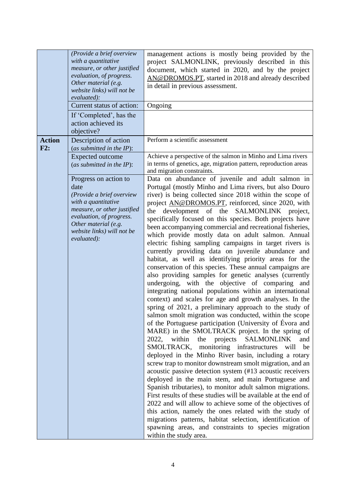|                      | (Provide a brief overview<br>with a quantitative<br>measure, or other justified<br>evaluation, of progress.<br>Other material (e.g.<br>website links) will not be<br>evaluated):<br>Current status of action:<br>If 'Completed', has the<br>action achieved its<br>objective? | management actions is mostly being provided by the<br>project SALMONLINK, previously described in this<br>document, which started in 2020, and by the project<br>AN@DROMOS.PT, started in 2018 and already described<br>in detail in previous assessment.<br>Ongoing                                                                                                                                                                                                                                                                                                                                                                                                                                                                                                                                                                                                                                                                                                                                                                                                                                                                                                                                                                                                                                                                                                                                                                                                                                                                                                                                                                                                                                                                                                                                                                                                                                                                                          |
|----------------------|-------------------------------------------------------------------------------------------------------------------------------------------------------------------------------------------------------------------------------------------------------------------------------|---------------------------------------------------------------------------------------------------------------------------------------------------------------------------------------------------------------------------------------------------------------------------------------------------------------------------------------------------------------------------------------------------------------------------------------------------------------------------------------------------------------------------------------------------------------------------------------------------------------------------------------------------------------------------------------------------------------------------------------------------------------------------------------------------------------------------------------------------------------------------------------------------------------------------------------------------------------------------------------------------------------------------------------------------------------------------------------------------------------------------------------------------------------------------------------------------------------------------------------------------------------------------------------------------------------------------------------------------------------------------------------------------------------------------------------------------------------------------------------------------------------------------------------------------------------------------------------------------------------------------------------------------------------------------------------------------------------------------------------------------------------------------------------------------------------------------------------------------------------------------------------------------------------------------------------------------------------|
| <b>Action</b><br>F2: | Description of action<br>(as submitted in the IP):<br><b>Expected outcome</b><br>(as submitted in the $IP$ ):                                                                                                                                                                 | Perform a scientific assessment<br>Achieve a perspective of the salmon in Minho and Lima rivers<br>in terms of genetics, age, migration pattern, reproduction areas                                                                                                                                                                                                                                                                                                                                                                                                                                                                                                                                                                                                                                                                                                                                                                                                                                                                                                                                                                                                                                                                                                                                                                                                                                                                                                                                                                                                                                                                                                                                                                                                                                                                                                                                                                                           |
|                      | Progress on action to<br>date<br>(Provide a brief overview<br>with a quantitative<br>measure, or other justified<br>evaluation, of progress.<br>Other material (e.g.<br>website links) will not be<br>evaluated):                                                             | and migration constraints.<br>Data on abundance of juvenile and adult salmon in<br>Portugal (mostly Minho and Lima rivers, but also Douro<br>river) is being collected since 2018 within the scope of<br>project AN@DROMOS.PT, reinforced, since 2020, with<br>development of the SALMONLINK project,<br>the<br>specifically focused on this species. Both projects have<br>been accompanying commercial and recreational fisheries,<br>which provide mostly data on adult salmon. Annual<br>electric fishing sampling campaigns in target rivers is<br>currently providing data on juvenile abundance and<br>habitat, as well as identifying priority areas for the<br>conservation of this species. These annual campaigns are<br>also providing samples for genetic analyses (currently<br>undergoing, with the objective of comparing and<br>integrating national populations within an international<br>context) and scales for age and growth analyses. In the<br>spring of 2021, a preliminary approach to the study of<br>salmon smolt migration was conducted, within the scope<br>of the Portuguese participation (University of Évora and<br>MARE) in the SMOLTRACK project. In the spring of<br>within<br>the projects SALMONLINK<br>2022,<br>and<br>SMOLTRACK, monitoring infrastructures will<br>be<br>deployed in the Minho River basin, including a rotary<br>screw trap to monitor downstream smolt migration, and an<br>acoustic passive detection system (#13 acoustic receivers<br>deployed in the main stem, and main Portuguese and<br>Spanish tributaries), to monitor adult salmon migrations.<br>First results of these studies will be available at the end of<br>2022 and will allow to achieve some of the objectives of<br>this action, namely the ones related with the study of<br>migrations patterns, habitat selection, identification of<br>spawning areas, and constraints to species migration<br>within the study area. |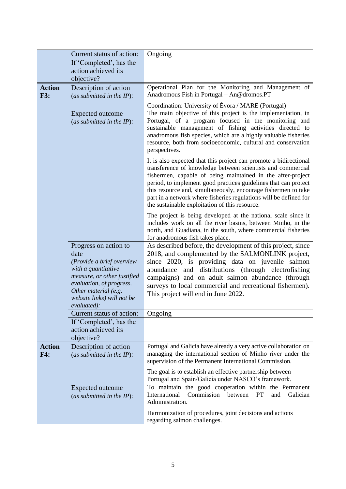|                             | Current status of action:                                                                                                                                                                                         | Ongoing                                                                                                                                                                                                                                                                                                                                                                                                                                                     |
|-----------------------------|-------------------------------------------------------------------------------------------------------------------------------------------------------------------------------------------------------------------|-------------------------------------------------------------------------------------------------------------------------------------------------------------------------------------------------------------------------------------------------------------------------------------------------------------------------------------------------------------------------------------------------------------------------------------------------------------|
|                             | If 'Completed', has the                                                                                                                                                                                           |                                                                                                                                                                                                                                                                                                                                                                                                                                                             |
|                             | action achieved its<br>objective?                                                                                                                                                                                 |                                                                                                                                                                                                                                                                                                                                                                                                                                                             |
| <b>Action</b><br><b>F3:</b> | Description of action<br>(as submitted in the $IP$ ):                                                                                                                                                             | Operational Plan for the Monitoring and Management of<br>Anadromous Fish in Portugal - An@dromos.PT                                                                                                                                                                                                                                                                                                                                                         |
|                             | <b>Expected outcome</b><br>(as submitted in the $IP$ ):                                                                                                                                                           | Coordination: University of Évora / MARE (Portugal)<br>The main objective of this project is the implementation, in<br>Portugal, of a program focused in the monitoring and<br>sustainable management of fishing activities directed to<br>anadromous fish species, which are a highly valuable fisheries<br>resource, both from socioeconomic, cultural and conservation<br>perspectives.                                                                  |
|                             |                                                                                                                                                                                                                   | It is also expected that this project can promote a bidirectional<br>transference of knowledge between scientists and commercial<br>fishermen, capable of being maintained in the after-project<br>period, to implement good practices guidelines that can protect<br>this resource and, simultaneously, encourage fishermen to take<br>part in a network where fisheries regulations will be defined for<br>the sustainable exploitation of this resource. |
|                             |                                                                                                                                                                                                                   | The project is being developed at the national scale since it<br>includes work on all the river basins, between Minho, in the<br>north, and Guadiana, in the south, where commercial fisheries<br>for anadromous fish takes place.                                                                                                                                                                                                                          |
|                             | Progress on action to<br>date<br>(Provide a brief overview<br>with a quantitative<br>measure, or other justified<br>evaluation, of progress.<br>Other material (e.g.<br>website links) will not be<br>evaluated): | As described before, the development of this project, since<br>2018, and complemented by the SALMONLINK project,<br>since 2020, is providing data on juvenile salmon<br>abundance and distributions (through electrofishing<br>campaigns) and on adult salmon abundance (through<br>surveys to local commercial and recreational fishermen).<br>This project will end in June 2022.                                                                         |
|                             | Current status of action:                                                                                                                                                                                         | Ongoing                                                                                                                                                                                                                                                                                                                                                                                                                                                     |
|                             | If 'Completed', has the<br>action achieved its<br>objective?                                                                                                                                                      |                                                                                                                                                                                                                                                                                                                                                                                                                                                             |
| <b>Action</b><br>F4:        | Description of action<br>(as submitted in the $IP$ ):                                                                                                                                                             | Portugal and Galicia have already a very active collaboration on<br>managing the international section of Minho river under the<br>supervision of the Permanent International Commission.                                                                                                                                                                                                                                                                   |
|                             |                                                                                                                                                                                                                   | The goal is to establish an effective partnership between<br>Portugal and Spain/Galicia under NASCO's framework.                                                                                                                                                                                                                                                                                                                                            |
|                             | <b>Expected outcome</b><br>(as submitted in the IP):                                                                                                                                                              | To maintain the good cooperation within the Permanent<br>International<br>Commission<br>PT<br>Galician<br>between<br>and<br>Administration.                                                                                                                                                                                                                                                                                                                 |
|                             |                                                                                                                                                                                                                   | Harmonization of procedures, joint decisions and actions<br>regarding salmon challenges.                                                                                                                                                                                                                                                                                                                                                                    |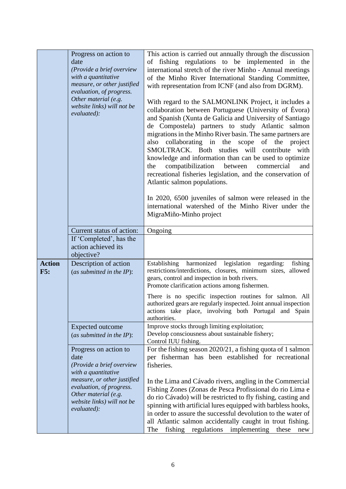|                      | Progress on action to<br>date<br>(Provide a brief overview<br>with a quantitative<br>measure, or other justified<br>evaluation, of progress.<br>Other material (e.g.<br>website links) will not be<br>evaluated): | This action is carried out annually through the discussion<br>of fishing regulations to be implemented in the<br>international stretch of the river Minho - Annual meetings<br>of the Minho River International Standing Committee,<br>with representation from ICNF (and also from DGRM).<br>With regard to the SALMONLINK Project, it includes a<br>collaboration between Portuguese (University of Évora)<br>and Spanish (Xunta de Galicia and University of Santiago<br>de Compostela) partners to study Atlantic salmon<br>migrations in the Minho River basin. The same partners are<br>collaborating in the<br>of the<br>also<br>scope<br>project<br>SMOLTRACK. Both studies will contribute<br>with<br>knowledge and information than can be used to optimize<br>compatibilization<br>between<br>the<br>commercial<br>and<br>recreational fisheries legislation, and the conservation of<br>Atlantic salmon populations.<br>In 2020, 6500 juveniles of salmon were released in the<br>international watershed of the Minho River under the<br>MigraMiño-Minho project |
|----------------------|-------------------------------------------------------------------------------------------------------------------------------------------------------------------------------------------------------------------|-------------------------------------------------------------------------------------------------------------------------------------------------------------------------------------------------------------------------------------------------------------------------------------------------------------------------------------------------------------------------------------------------------------------------------------------------------------------------------------------------------------------------------------------------------------------------------------------------------------------------------------------------------------------------------------------------------------------------------------------------------------------------------------------------------------------------------------------------------------------------------------------------------------------------------------------------------------------------------------------------------------------------------------------------------------------------------|
|                      |                                                                                                                                                                                                                   |                                                                                                                                                                                                                                                                                                                                                                                                                                                                                                                                                                                                                                                                                                                                                                                                                                                                                                                                                                                                                                                                               |
|                      | Current status of action:                                                                                                                                                                                         | Ongoing                                                                                                                                                                                                                                                                                                                                                                                                                                                                                                                                                                                                                                                                                                                                                                                                                                                                                                                                                                                                                                                                       |
|                      | If 'Completed', has the<br>action achieved its<br>objective?                                                                                                                                                      |                                                                                                                                                                                                                                                                                                                                                                                                                                                                                                                                                                                                                                                                                                                                                                                                                                                                                                                                                                                                                                                                               |
| <b>Action</b><br>F5: | Description of action<br>(as submitted in the $IP$ ):                                                                                                                                                             | legislation<br>harmonized<br>fishing<br>Establishing<br>regarding:<br>restrictions/interdictions, closures, minimum sizes, allowed<br>gears, control and inspection in both rivers.<br>Promote clarification actions among fishermen.<br>There is no specific inspection routines for salmon. All<br>authorized gears are regularly inspected. Joint annual inspection<br>actions take place, involving both Portugal and Spain<br>authorities.                                                                                                                                                                                                                                                                                                                                                                                                                                                                                                                                                                                                                               |
|                      | Expected outcome<br>(as submitted in the $IP$ ):                                                                                                                                                                  | Improve stocks through limiting exploitation;<br>Develop consciousness about sustainable fishery;<br>Control IUU fishing.                                                                                                                                                                                                                                                                                                                                                                                                                                                                                                                                                                                                                                                                                                                                                                                                                                                                                                                                                     |
|                      | Progress on action to<br>date<br>(Provide a brief overview<br>with a quantitative<br>measure, or other justified<br>evaluation, of progress.<br>Other material (e.g.                                              | For the fishing season 2020/21, a fishing quota of 1 salmon<br>per fisherman has been established for recreational<br>fisheries.<br>In the Lima and Cávado rivers, angling in the Commercial<br>Fishing Zones (Zonas de Pesca Profissional do rio Lima e<br>do rio Cávado) will be restricted to fly fishing, casting and                                                                                                                                                                                                                                                                                                                                                                                                                                                                                                                                                                                                                                                                                                                                                     |
|                      | website links) will not be<br>evaluated):                                                                                                                                                                         | spinning with artificial lures equipped with barbless hooks,<br>in order to assure the successful devolution to the water of<br>all Atlantic salmon accidentally caught in trout fishing.<br>regulations<br>fishing<br>implementing<br>The<br>these<br>new                                                                                                                                                                                                                                                                                                                                                                                                                                                                                                                                                                                                                                                                                                                                                                                                                    |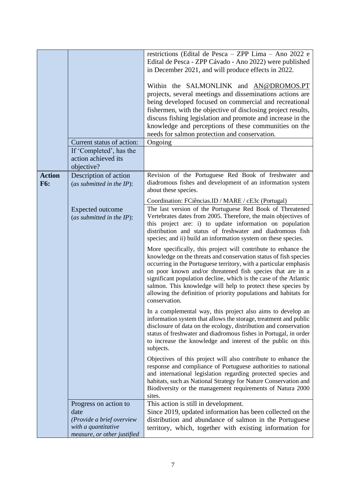|                             | Current status of action:<br>If 'Completed', has the<br>action achieved its<br>objective?                        | restrictions (Edital de Pesca - ZPP Lima - Ano 2022 e<br>Edital de Pesca - ZPP Cávado - Ano 2022) were published<br>in December 2021, and will produce effects in 2022.<br>Within the SALMONLINK and AN@DROMOS.PT<br>projects, several meetings and disseminations actions are<br>being developed focused on commercial and recreational<br>fishermen, with the objective of disclosing project results,<br>discuss fishing legislation and promote and increase in the<br>knowledge and perceptions of these communities on the<br>needs for salmon protection and conservation.<br>Ongoing                                                                                                                                                                                                                              |
|-----------------------------|------------------------------------------------------------------------------------------------------------------|---------------------------------------------------------------------------------------------------------------------------------------------------------------------------------------------------------------------------------------------------------------------------------------------------------------------------------------------------------------------------------------------------------------------------------------------------------------------------------------------------------------------------------------------------------------------------------------------------------------------------------------------------------------------------------------------------------------------------------------------------------------------------------------------------------------------------|
| <b>Action</b><br><b>F6:</b> | Description of action<br>(as submitted in the $IP$ ):                                                            | Revision of the Portuguese Red Book of freshwater and<br>diadromous fishes and development of an information system<br>about these species.                                                                                                                                                                                                                                                                                                                                                                                                                                                                                                                                                                                                                                                                               |
|                             |                                                                                                                  | Coordination: FCiências.ID / MARE / cE3c (Portugal)                                                                                                                                                                                                                                                                                                                                                                                                                                                                                                                                                                                                                                                                                                                                                                       |
|                             | Expected outcome<br>(as submitted in the $IP$ ):                                                                 | The last version of the Portuguese Red Book of Threatened<br>Vertebrates dates from 2005. Therefore, the main objectives of<br>this project are: i) to update information on population<br>distribution and status of freshwater and diadromous fish<br>species; and ii) build an information system on these species.<br>More specifically, this project will contribute to enhance the<br>knowledge on the threats and conservation status of fish species<br>occurring in the Portuguese territory, with a particular emphasis<br>on poor known and/or threatened fish species that are in a<br>significant population decline, which is the case of the Atlantic<br>salmon. This knowledge will help to protect these species by<br>allowing the definition of priority populations and habitats for<br>conservation. |
|                             |                                                                                                                  | In a complemental way, this project also aims to develop an<br>information system that allows the storage, treatment and public<br>disclosure of data on the ecology, distribution and conservation<br>status of freshwater and diadromous fishes in Portugal, in order<br>to increase the knowledge and interest of the public on this<br>subjects.                                                                                                                                                                                                                                                                                                                                                                                                                                                                      |
|                             |                                                                                                                  | Objectives of this project will also contribute to enhance the<br>response and compliance of Portuguese authorities to national<br>and international legislation regarding protected species and<br>habitats, such as National Strategy for Nature Conservation and<br>Biodiversity or the management requirements of Natura 2000<br>sites.                                                                                                                                                                                                                                                                                                                                                                                                                                                                               |
|                             | Progress on action to<br>date<br>(Provide a brief overview<br>with a quantitative<br>measure, or other justified | This action is still in development.<br>Since 2019, updated information has been collected on the<br>distribution and abundance of salmon in the Portuguese<br>territory, which, together with existing information for                                                                                                                                                                                                                                                                                                                                                                                                                                                                                                                                                                                                   |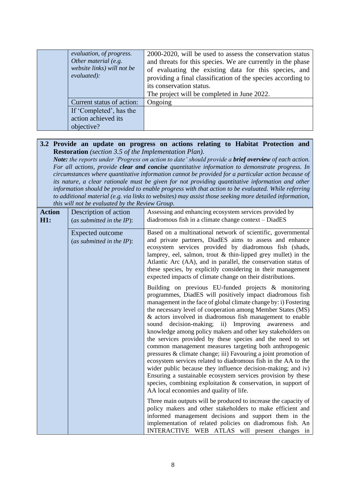| evaluation, of progress.<br>Other material (e.g.<br>website links) will not be<br>evaluated): | 2000-2020, will be used to assess the conservation status<br>and threats for this species. We are currently in the phase<br>of evaluating the existing data for this species, and<br>providing a final classification of the species according to<br>its conservation status.<br>The project will be completed in June 2022. |
|-----------------------------------------------------------------------------------------------|------------------------------------------------------------------------------------------------------------------------------------------------------------------------------------------------------------------------------------------------------------------------------------------------------------------------------|
| Current status of action:                                                                     | Ongoing                                                                                                                                                                                                                                                                                                                      |
| If 'Completed', has the                                                                       |                                                                                                                                                                                                                                                                                                                              |
| action achieved its                                                                           |                                                                                                                                                                                                                                                                                                                              |
| objective?                                                                                    |                                                                                                                                                                                                                                                                                                                              |

### **3.2 Provide an update on progress on actions relating to Habitat Protection and Restoration** *(section 3.5 of the Implementation Plan).*

*Note: the reports under 'Progress on action to date' should provide a brief overview of each action. For all actions, provide clear and concise quantitative information to demonstrate progress. In circumstances where quantitative information cannot be provided for a particular action because of its nature, a clear rationale must be given for not providing quantitative information and other information should be provided to enable progress with that action to be evaluated. While referring to additional material (e.g. via links to websites) may assist those seeking more detailed information, this will not be evaluated by the Review Group.*

| <b>Action</b><br><b>H1:</b> | Description of action<br>(as submitted in the $IP$ ): | Assessing and enhancing ecosystem services provided by<br>diadromous fish in a climate change context - DiadES                                                                                                                                                                                                                                                                                                                                                                                                                                                                                                                                                                                                                                                                                                                                                                                                                                      |
|-----------------------------|-------------------------------------------------------|-----------------------------------------------------------------------------------------------------------------------------------------------------------------------------------------------------------------------------------------------------------------------------------------------------------------------------------------------------------------------------------------------------------------------------------------------------------------------------------------------------------------------------------------------------------------------------------------------------------------------------------------------------------------------------------------------------------------------------------------------------------------------------------------------------------------------------------------------------------------------------------------------------------------------------------------------------|
|                             | Expected outcome<br>(as submitted in the $IP$ ):      | Based on a multinational network of scientific, governmental<br>and private partners, DiadES aims to assess and enhance<br>ecosystem services provided by diadromous fish (shads,<br>lamprey, eel, salmon, trout $&$ thin-lipped grey mullet) in the<br>Atlantic Arc (AA), and in parallel, the conservation status of<br>these species, by explicitly considering in their management<br>expected impacts of climate change on their distributions.                                                                                                                                                                                                                                                                                                                                                                                                                                                                                                |
|                             |                                                       | Building on previous EU-funded projects & monitoring<br>programmes, DiadES will positively impact diadromous fish<br>management in the face of global climate change by: i) Fostering<br>the necessary level of cooperation among Member States (MS)<br>& actors involved in diadromous fish management to enable<br>sound decision-making; ii) Improving awareness<br>and<br>knowledge among policy makers and other key stakeholders on<br>the services provided by these species and the need to set<br>common management measures targeting both anthropogenic<br>pressures & climate change; iii) Favouring a joint promotion of<br>ecosystem services related to diadromous fish in the AA to the<br>wider public because they influence decision-making; and iv)<br>Ensuring a sustainable ecosystem services provision by these<br>species, combining exploitation & conservation, in support of<br>AA local economies and quality of life. |
|                             |                                                       | Three main outputs will be produced to increase the capacity of<br>policy makers and other stakeholders to make efficient and<br>informed management decisions and support them in the<br>implementation of related policies on diadromous fish. An<br>INTERACTIVE WEB ATLAS will present changes in                                                                                                                                                                                                                                                                                                                                                                                                                                                                                                                                                                                                                                                |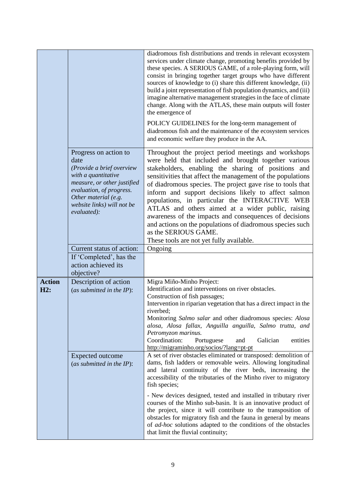|                      |                                                                                                                                                                                                                   | diadromous fish distributions and trends in relevant ecosystem<br>services under climate change, promoting benefits provided by<br>these species. A SERIOUS GAME, of a role-playing form, will<br>consist in bringing together target groups who have different<br>sources of knowledge to (i) share this different knowledge, (ii)<br>build a joint representation of fish population dynamics, and (iii)<br>imagine alternative management strategies in the face of climate<br>change. Along with the ATLAS, these main outputs will foster<br>the emergence of<br>POLICY GUIDELINES for the long-term management of<br>diadromous fish and the maintenance of the ecosystem services<br>and economic welfare they produce in the AA. |
|----------------------|-------------------------------------------------------------------------------------------------------------------------------------------------------------------------------------------------------------------|------------------------------------------------------------------------------------------------------------------------------------------------------------------------------------------------------------------------------------------------------------------------------------------------------------------------------------------------------------------------------------------------------------------------------------------------------------------------------------------------------------------------------------------------------------------------------------------------------------------------------------------------------------------------------------------------------------------------------------------|
|                      | Progress on action to<br>date<br>(Provide a brief overview<br>with a quantitative<br>measure, or other justified<br>evaluation, of progress.<br>Other material (e.g.<br>website links) will not be<br>evaluated): | Throughout the project period meetings and workshops<br>were held that included and brought together various<br>stakeholders, enabling the sharing of positions and<br>sensitivities that affect the management of the populations<br>of diadromous species. The project gave rise to tools that<br>inform and support decisions likely to affect salmon<br>populations, in particular the INTERACTIVE WEB<br>ATLAS and others aimed at a wider public, raising<br>awareness of the impacts and consequences of decisions<br>and actions on the populations of diadromous species such<br>as the SERIOUS GAME.<br>These tools are not yet fully available.                                                                               |
|                      | Current status of action:                                                                                                                                                                                         | Ongoing                                                                                                                                                                                                                                                                                                                                                                                                                                                                                                                                                                                                                                                                                                                                  |
|                      | If 'Completed', has the<br>action achieved its<br>objective?                                                                                                                                                      |                                                                                                                                                                                                                                                                                                                                                                                                                                                                                                                                                                                                                                                                                                                                          |
| <b>Action</b><br>H2: | Description of action<br>(as submitted in the $IP$ ):                                                                                                                                                             | Migra Miño-Minho Project:<br>Identification and interventions on river obstacles.<br>Construction of fish passages;<br>Intervention in riparian vegetation that has a direct impact in the<br>riverbed;<br>Monitoring Salmo salar and other diadromous species: Alosa<br>alosa, Alosa fallax, Anguilla anguilla, Salmo trutta, and<br>Petromyzon marinus.<br>Coordination:<br>Galician<br>Portuguese<br>entities<br>and<br>http://migraminho.org/socios/?lang=pt-pt                                                                                                                                                                                                                                                                      |
|                      | <b>Expected outcome</b><br>(as submitted in the $IP$ ):                                                                                                                                                           | A set of river obstacles eliminated or transposed: demolition of<br>dams, fish ladders or removable weirs. Allowing longitudinal<br>and lateral continuity of the river beds, increasing the<br>accessibility of the tributaries of the Minho river to migratory<br>fish species;                                                                                                                                                                                                                                                                                                                                                                                                                                                        |
|                      |                                                                                                                                                                                                                   | - New devices designed, tested and installed in tributary river<br>courses of the Minho sub-basin. It is an innovative product of<br>the project, since it will contribute to the transposition of<br>obstacles for migratory fish and the fauna in general by means<br>of ad-hoc solutions adapted to the conditions of the obstacles<br>that limit the fluvial continuity;                                                                                                                                                                                                                                                                                                                                                             |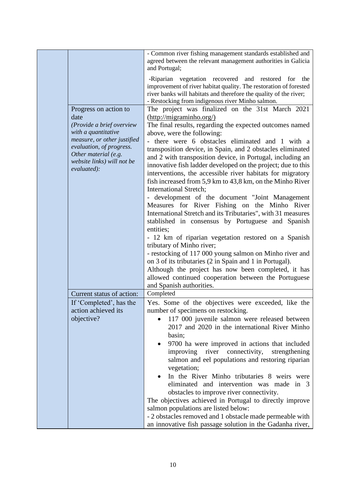|                                                                                                                                                                                                                   | - Common river fishing management standards established and<br>agreed between the relevant management authorities in Galicia<br>and Portugal;                                                                                                                                                                                                                                                                                                                                                                                                                                                                                                                                                                                                                                                                                                                                                                                                                                                                                                                                                                                                      |
|-------------------------------------------------------------------------------------------------------------------------------------------------------------------------------------------------------------------|----------------------------------------------------------------------------------------------------------------------------------------------------------------------------------------------------------------------------------------------------------------------------------------------------------------------------------------------------------------------------------------------------------------------------------------------------------------------------------------------------------------------------------------------------------------------------------------------------------------------------------------------------------------------------------------------------------------------------------------------------------------------------------------------------------------------------------------------------------------------------------------------------------------------------------------------------------------------------------------------------------------------------------------------------------------------------------------------------------------------------------------------------|
|                                                                                                                                                                                                                   | -Riparian vegetation recovered and restored<br>for the<br>improvement of river habitat quality. The restoration of forested<br>river banks will habitats and therefore the quality of the river;<br>- Restocking from indigenous river Minho salmon.                                                                                                                                                                                                                                                                                                                                                                                                                                                                                                                                                                                                                                                                                                                                                                                                                                                                                               |
| Progress on action to<br>date<br>(Provide a brief overview<br>with a quantitative<br>measure, or other justified<br>evaluation, of progress.<br>Other material (e.g.<br>website links) will not be<br>evaluated): | The project was finalized on the 31st March 2021<br>(http://migraminho.org/)<br>The final results, regarding the expected outcomes named<br>above, were the following:<br>- there were 6 obstacles eliminated and 1 with a<br>transposition device, in Spain, and 2 obstacles eliminated<br>and 2 with transposition device, in Portugal, including an<br>innovative fish ladder developed on the project; due to this<br>interventions, the accessible river habitats for migratory<br>fish increased from 5,9 km to 43,8 km, on the Minho River<br><b>International Stretch;</b><br>- development of the document "Joint Management<br>Measures for River Fishing on the Minho River<br>International Stretch and its Tributaries", with 31 measures<br>stablished in consensus by Portuguese and Spanish<br>entities;<br>- 12 km of riparian vegetation restored on a Spanish<br>tributary of Minho river;<br>- restocking of 117 000 young salmon on Minho river and<br>on 3 of its tributaries (2 in Spain and 1 in Portugal).<br>Although the project has now been completed, it has<br>allowed continued cooperation between the Portuguese |
|                                                                                                                                                                                                                   | and Spanish authorities.                                                                                                                                                                                                                                                                                                                                                                                                                                                                                                                                                                                                                                                                                                                                                                                                                                                                                                                                                                                                                                                                                                                           |
| Current status of action:<br>If 'Completed', has the<br>action achieved its<br>objective?                                                                                                                         | Completed<br>Yes. Some of the objectives were exceeded, like the<br>number of specimens on restocking.<br>117 000 juvenile salmon were released between<br>2017 and 2020 in the international River Minho<br>basin;<br>9700 ha were improved in actions that included<br>improving river<br>connectivity,<br>strengthening<br>salmon and eel populations and restoring riparian<br>vegetation;<br>In the River Minho tributaries 8 weirs were<br>eliminated and intervention was made in 3<br>obstacles to improve river connectivity.<br>The objectives achieved in Portugal to directly improve<br>salmon populations are listed below:<br>- 2 obstacles removed and 1 obstacle made permeable with<br>an innovative fish passage solution in the Gadanha river,                                                                                                                                                                                                                                                                                                                                                                                 |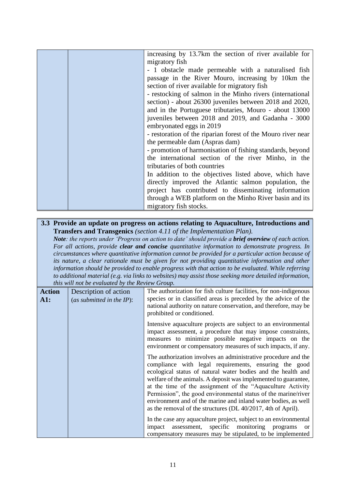|  | increasing by 13.7km the section of river available for      |
|--|--------------------------------------------------------------|
|  | migratory fish                                               |
|  | - 1 obstacle made permeable with a naturalised fish          |
|  | passage in the River Mouro, increasing by 10km the           |
|  | section of river available for migratory fish                |
|  | - restocking of salmon in the Minho rivers (international    |
|  | section) - about 26300 juveniles between 2018 and 2020,      |
|  | and in the Portuguese tributaries, Mouro - about 13000       |
|  | juveniles between 2018 and 2019, and Gadanha - 3000          |
|  | embryonated eggs in 2019                                     |
|  | - restoration of the riparian forest of the Mouro river near |
|  | the permeable dam (Aspras dam)                               |
|  | - promotion of harmonisation of fishing standards, beyond    |
|  | the international section of the river Minho, in the         |
|  | tributaries of both countries                                |
|  | In addition to the objectives listed above, which have       |
|  | directly improved the Atlantic salmon population, the        |
|  | project has contributed to disseminating information         |
|  | through a WEB platform on the Minho River basin and its      |
|  | migratory fish stocks.                                       |
|  |                                                              |

## **3.3 Provide an update on progress on actions relating to Aquaculture, Introductions and Transfers and Transgenics** *(section 4.11 of the Implementation Plan).*

*Note: the reports under 'Progress on action to date' should provide a brief overview of each action. For all actions, provide clear and concise quantitative information to demonstrate progress. In circumstances where quantitative information cannot be provided for a particular action because of its nature, a clear rationale must be given for not providing quantitative information and other information should be provided to enable progress with that action to be evaluated. While referring to additional material (e.g. via links to websites) may assist those seeking more detailed information, this will not be evaluated by the Review Group.*

|                      | nno mní noi oc crunnnaí a nío nchon Sro               |                                                                                                                                                                                                                                                                                                                                                                                                                                                                                                                              |
|----------------------|-------------------------------------------------------|------------------------------------------------------------------------------------------------------------------------------------------------------------------------------------------------------------------------------------------------------------------------------------------------------------------------------------------------------------------------------------------------------------------------------------------------------------------------------------------------------------------------------|
| <b>Action</b><br>A1: | Description of action<br>(as submitted in the $IP$ ): | The authorization for fish culture facilities, for non-indigenous<br>species or in classified areas is preceded by the advice of the<br>national authority on nature conservation, and therefore, may be<br>prohibited or conditioned.                                                                                                                                                                                                                                                                                       |
|                      |                                                       | Intensive aquaculture projects are subject to an environmental<br>impact assessment, a procedure that may impose constraints,<br>measures to minimize possible negative impacts on the<br>environment or compensatory measures of such impacts, if any.                                                                                                                                                                                                                                                                      |
|                      |                                                       | The authorization involves an administrative procedure and the<br>compliance with legal requirements, ensuring the good<br>ecological status of natural water bodies and the health and<br>welfare of the animals. A deposit was implemented to guarantee,<br>at the time of the assignment of the "Aquaculture Activity<br>Permission", the good environmental status of the marine/river<br>environment and of the marine and inland water bodies, as well<br>as the removal of the structures (DL 40/2017, 4th of April). |
|                      |                                                       | In the case any aquaculture project, subject to an environmental<br>assessment, specific monitoring<br>programs<br>impact<br>$\alpha$<br>compensatory measures may be stipulated, to be implemented                                                                                                                                                                                                                                                                                                                          |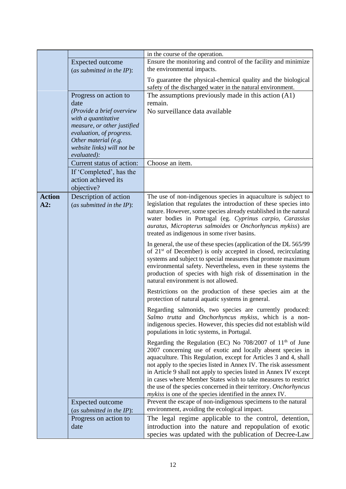|               |                              | in the course of the operation.                                            |
|---------------|------------------------------|----------------------------------------------------------------------------|
|               | <b>Expected outcome</b>      | Ensure the monitoring and control of the facility and minimize             |
|               | (as submitted in the $IP$ ): | the environmental impacts.                                                 |
|               |                              | To guarantee the physical-chemical quality and the biological              |
|               |                              | safety of the discharged water in the natural environment.                 |
|               |                              |                                                                            |
|               | Progress on action to        | The assumptions previously made in this action $(A1)$                      |
|               | date                         | remain.                                                                    |
|               | (Provide a brief overview    | No surveillance data available                                             |
|               | with a quantitative          |                                                                            |
|               | measure, or other justified  |                                                                            |
|               | evaluation, of progress.     |                                                                            |
|               | Other material (e.g.         |                                                                            |
|               | website links) will not be   |                                                                            |
|               | evaluated):                  |                                                                            |
|               | Current status of action:    | Choose an item.                                                            |
|               | If 'Completed', has the      |                                                                            |
|               | action achieved its          |                                                                            |
|               | objective?                   |                                                                            |
| <b>Action</b> |                              | The use of non-indigenous species in aquaculture is subject to             |
|               | Description of action        | legislation that regulates the introduction of these species into          |
| A2:           | (as submitted in the $IP$ ): |                                                                            |
|               |                              | nature. However, some species already established in the natural           |
|               |                              | water bodies in Portugal (eg. Cyprinus carpio, Carassius                   |
|               |                              | auratus, Micropterus salmoides or Onchorhyncus mykiss) are                 |
|               |                              | treated as indigenous in some river basins.                                |
|               |                              | In general, the use of these species (application of the DL 565/99         |
|               |                              | of 21 <sup>st</sup> of December) is only accepted in closed, recirculating |
|               |                              | systems and subject to special measures that promote maximum               |
|               |                              | environmental safety. Nevertheless, even in these systems the              |
|               |                              | production of species with high risk of dissemination in the               |
|               |                              | natural environment is not allowed.                                        |
|               |                              | Restrictions on the production of these species aim at the                 |
|               |                              | protection of natural aquatic systems in general.                          |
|               |                              |                                                                            |
|               |                              | Regarding salmonids, two species are currently produced:                   |
|               |                              | Salmo trutta and Onchorhyncus mykiss, which is a non-                      |
|               |                              | indigenous species. However, this species did not establish wild           |
|               |                              | populations in lotic systems, in Portugal.                                 |
|               |                              | Regarding the Regulation (EC) No $708/2007$ of $11th$ of June              |
|               |                              | 2007 concerning use of exotic and locally absent species in                |
|               |                              | aquaculture. This Regulation, except for Articles 3 and 4, shall           |
|               |                              | not apply to the species listed in Annex IV. The risk assessment           |
|               |                              | in Article 9 shall not apply to species listed in Annex IV except          |
|               |                              | in cases where Member States wish to take measures to restrict             |
|               |                              | the use of the species concerned in their territory. Onchorhyncus          |
|               |                              | <i>mykiss</i> is one of the species identified in the annex IV.            |
|               | Expected outcome             | Prevent the escape of non-indigenous specimens to the natural              |
|               | (as submitted in the IP):    | environment, avoiding the ecological impact.                               |
|               | Progress on action to        | The legal regime applicable to the control, detention,                     |
|               | date                         | introduction into the nature and repopulation of exotic                    |
|               |                              |                                                                            |
|               |                              | species was updated with the publication of Decree-Law                     |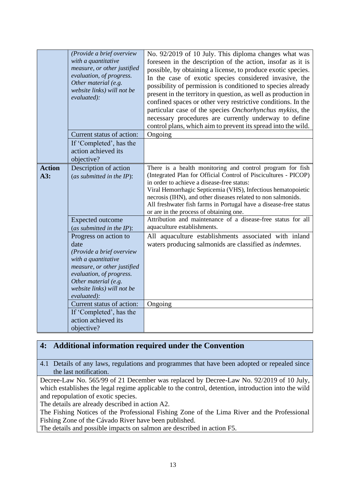|                      | (Provide a brief overview<br>with a quantitative<br>measure, or other justified<br>evaluation, of progress.<br>Other material (e.g.<br>website links) will not be<br>evaluated):                                                                                                                               | No. 92/2019 of 10 July. This diploma changes what was<br>foreseen in the description of the action, insofar as it is<br>possible, by obtaining a license, to produce exotic species.<br>In the case of exotic species considered invasive, the<br>possibility of permission is conditioned to species already<br>present in the territory in question, as well as production in<br>confined spaces or other very restrictive conditions. In the<br>particular case of the species Onchorhynchus mykiss, the<br>necessary procedures are currently underway to define<br>control plans, which aim to prevent its spread into the wild. |
|----------------------|----------------------------------------------------------------------------------------------------------------------------------------------------------------------------------------------------------------------------------------------------------------------------------------------------------------|---------------------------------------------------------------------------------------------------------------------------------------------------------------------------------------------------------------------------------------------------------------------------------------------------------------------------------------------------------------------------------------------------------------------------------------------------------------------------------------------------------------------------------------------------------------------------------------------------------------------------------------|
|                      | Current status of action:                                                                                                                                                                                                                                                                                      | Ongoing                                                                                                                                                                                                                                                                                                                                                                                                                                                                                                                                                                                                                               |
|                      | If 'Completed', has the<br>action achieved its<br>objective?                                                                                                                                                                                                                                                   |                                                                                                                                                                                                                                                                                                                                                                                                                                                                                                                                                                                                                                       |
| <b>Action</b><br>A3: | Description of action<br>(as submitted in the $IP$ ):<br>Expected outcome                                                                                                                                                                                                                                      | There is a health monitoring and control program for fish<br>(Integrated Plan for Official Control of Piscicultures - PICOP)<br>in order to achieve a disease-free status:<br>Viral Hemorrhagic Septicemia (VHS), Infectious hematopoietic<br>necrosis (IHN), and other diseases related to non salmonids.<br>All freshwater fish farms in Portugal have a disease-free status<br>or are in the process of obtaining one.<br>Attribution and maintenance of a disease-free status for all                                                                                                                                             |
|                      | (as submitted in the $IP$ ):                                                                                                                                                                                                                                                                                   | aquaculture establishments.                                                                                                                                                                                                                                                                                                                                                                                                                                                                                                                                                                                                           |
|                      | Progress on action to<br>date<br>(Provide a brief overview<br>with a quantitative<br>measure, or other justified<br>evaluation, of progress.<br>Other material (e.g.<br>website links) will not be<br>evaluated):<br>Current status of action:<br>If 'Completed', has the<br>action achieved its<br>objective? | All aquaculture establishments associated with inland<br>waters producing salmonids are classified as indemnes.<br>Ongoing                                                                                                                                                                                                                                                                                                                                                                                                                                                                                                            |

# **4: Additional information required under the Convention**

4.1 Details of any laws, regulations and programmes that have been adopted or repealed since the last notification.

Decree-Law No. 565/99 of 21 December was replaced by Decree-Law No. 92/2019 of 10 July, which establishes the legal regime applicable to the control, detention, introduction into the wild and repopulation of exotic species.

The details are already described in action A2.

The Fishing Notices of the Professional Fishing Zone of the Lima River and the Professional Fishing Zone of the Cávado River have been published.

The details and possible impacts on salmon are described in action F5.